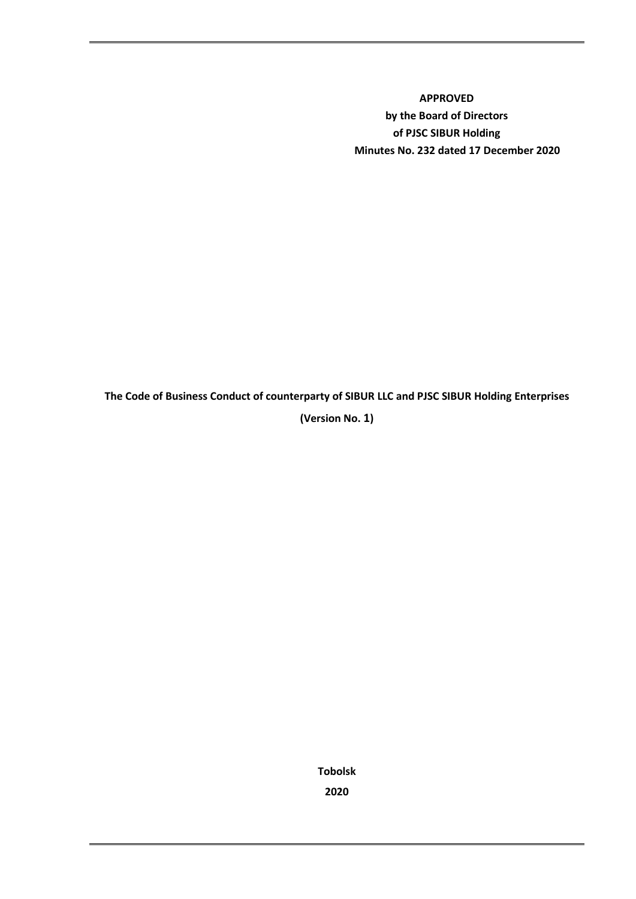**APPROVED by the Board of Directors of PJSC SIBUR Holding Minutes No. 232 dated 17 December 2020** 

**The Code of Business Conduct of counterparty of SIBUR LLC and PJSC SIBUR Holding Enterprises**

**(Version No. 1)**

**Tobolsk 2020**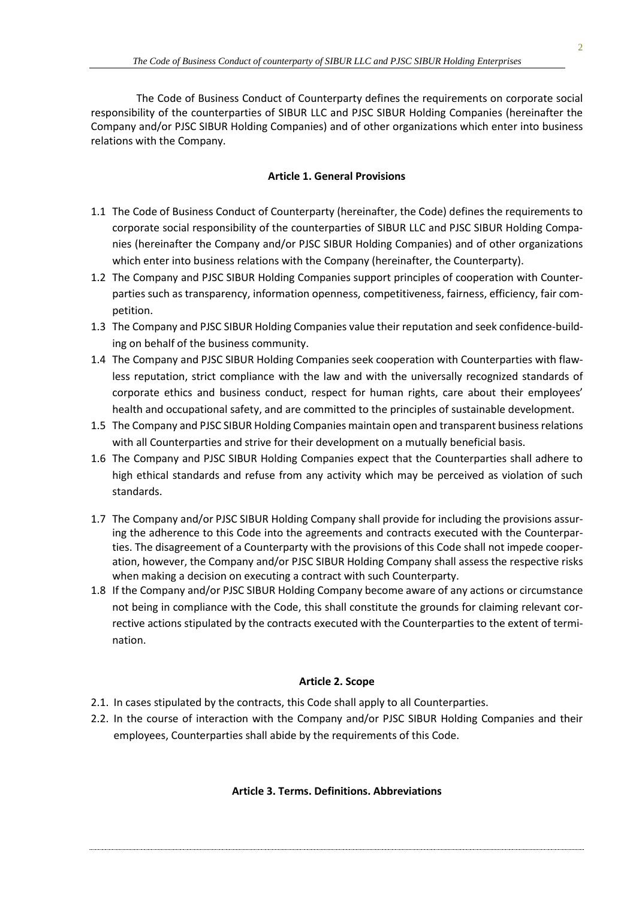The Code of Business Conduct of Counterparty defines the requirements on corporate social responsibility of the counterparties of SIBUR LLC and PJSC SIBUR Holding Companies (hereinafter the Company and/or PJSC SIBUR Holding Companies) and of other organizations which enter into business relations with the Company.

### **Article 1. General Provisions**

- 1.1 The Code of Business Conduct of Counterparty (hereinafter, the Code) defines the requirements to corporate social responsibility of the counterparties of SIBUR LLC and PJSC SIBUR Holding Companies (hereinafter the Company and/or PJSC SIBUR Holding Companies) and of other organizations which enter into business relations with the Company (hereinafter, the Counterparty).
- 1.2 The Company and PJSC SIBUR Holding Companies support principles of cooperation with Counterparties such as transparency, information openness, competitiveness, fairness, efficiency, fair competition.
- 1.3 The Company and PJSC SIBUR Holding Companies value their reputation and seek confidence-building on behalf of the business community.
- 1.4 The Company and PJSC SIBUR Holding Companies seek cooperation with Counterparties with flawless reputation, strict compliance with the law and with the universally recognized standards of corporate ethics and business conduct, respect for human rights, care about their employees' health and occupational safety, and are committed to the principles of sustainable development.
- 1.5 The Company and PJSC SIBUR Holding Companies maintain open and transparent business relations with all Counterparties and strive for their development on a mutually beneficial basis.
- 1.6 The Company and PJSC SIBUR Holding Companies expect that the Counterparties shall adhere to high ethical standards and refuse from any activity which may be perceived as violation of such standards.
- 1.7 The Company and/or PJSC SIBUR Holding Company shall provide for including the provisions assuring the adherence to this Code into the agreements and contracts executed with the Counterparties. The disagreement of a Counterparty with the provisions of this Code shall not impede cooperation, however, the Company and/or PJSC SIBUR Holding Company shall assess the respective risks when making a decision on executing a contract with such Counterparty.
- 1.8 If the Company and/or PJSC SIBUR Holding Company become aware of any actions or circumstance not being in compliance with the Code, this shall constitute the grounds for claiming relevant corrective actions stipulated by the contracts executed with the Counterparties to the extent of termination.

## **Article 2. Scope**

- 2.1. In cases stipulated by the contracts, this Code shall apply to all Counterparties.
- 2.2. In the course of interaction with the Company and/or PJSC SIBUR Holding Companies and their employees, Counterparties shall abide by the requirements of this Code.

### **Article 3. Terms. Definitions. Abbreviations**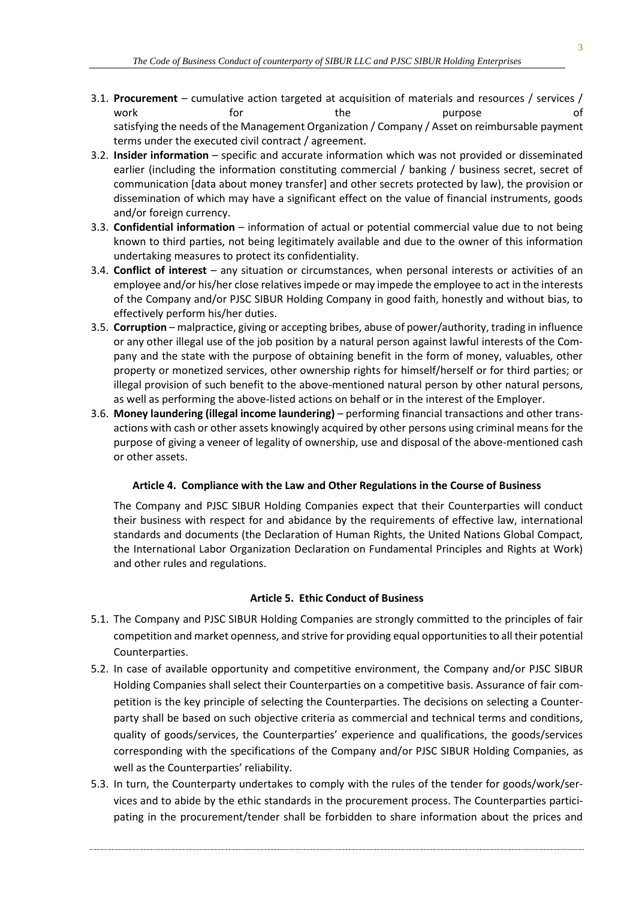- 3.1. **Procurement**  cumulative action targeted at acquisition of materials and resources / services / work the the purpose of the purpose of satisfying the needs of the Management Organization / Company / Asset on reimbursable payment terms under the executed civil contract / agreement.
- 3.2. **Insider information**  specific and accurate information which was not provided or disseminated earlier (including the information constituting commercial / banking / business secret, secret of communication [data about money transfer] and other secrets protected by law), the provision or dissemination of which may have a significant effect on the value of financial instruments, goods and/or foreign currency.
- 3.3. **Confidential information**  information of actual or potential commercial value due to not being known to third parties, not being legitimately available and due to the owner of this information undertaking measures to protect its confidentiality.
- 3.4. **Conflict of interest**  any situation or circumstances, when personal interests or activities of an employee and/or his/her close relatives impede or may impede the employee to act in the interests of the Company and/or PJSC SIBUR Holding Company in good faith, honestly and without bias, to effectively perform his/her duties.
- 3.5. **Corruption**  malpractice, giving or accepting bribes, abuse of power/authority, trading in influence or any other illegal use of the job position by a natural person against lawful interests of the Company and the state with the purpose of obtaining benefit in the form of money, valuables, other property or monetized services, other ownership rights for himself/herself or for third parties; or illegal provision of such benefit to the above-mentioned natural person by other natural persons, as well as performing the above-listed actions on behalf or in the interest of the Employer.
- 3.6. **Money laundering (illegal income laundering)**  performing financia[l transactions](http://www.consultant.ru/document/cons_doc_LAW_319280/#dst100018) and othe[r trans](http://www.consultant.ru/document/cons_doc_LAW_319280/#dst100019)[actions](http://www.consultant.ru/document/cons_doc_LAW_319280/#dst100019) wit[h cash](http://www.consultant.ru/document/cons_doc_LAW_319280/#dst100010) or other assets knowingly acquired by other persons using criminal means for [the](http://www.consultant.ru/document/cons_doc_LAW_319280/#dst100028)  [purpose of](http://www.consultant.ru/document/cons_doc_LAW_319280/#dst100028) giving a veneer of legality of ownership, use and disposal of the above-mentioned cash or other assets.

### **Article 4. Compliance with the Law and Other Regulations in the Course of Business**

The Company and PJSC SIBUR Holding Companies expect that their Counterparties will conduct their business with respect for and abidance by the requirements of effective law, international standards and documents (the Declaration of Human Rights, the United Nations Global Compact, the International Labor Organization Declaration on Fundamental Principles and Rights at Work) and other rules and regulations.

#### **Article 5. Ethic Conduct of Business**

- 5.1. The Company and PJSC SIBUR Holding Companies are strongly committed to the principles of fair competition and market openness, and strive for providing equal opportunities to all their potential Counterparties.
- 5.2. In case of available opportunity and competitive environment, the Company and/or PJSC SIBUR Holding Companies shall select their Counterparties on a competitive basis. Assurance of fair competition is the key principle of selecting the Counterparties. The decisions on selecting a Counterparty shall be based on such objective criteria as commercial and technical terms and conditions, quality of goods/services, the Counterparties' experience and qualifications, the goods/services corresponding with the specifications of the Company and/or PJSC SIBUR Holding Companies, as well as the Counterparties' reliability.
- 5.3. In turn, the Counterparty undertakes to comply with the rules of the tender for goods/work/services and to abide by the ethic standards in the procurement process. The Counterparties participating in the procurement/tender shall be forbidden to share information about the prices and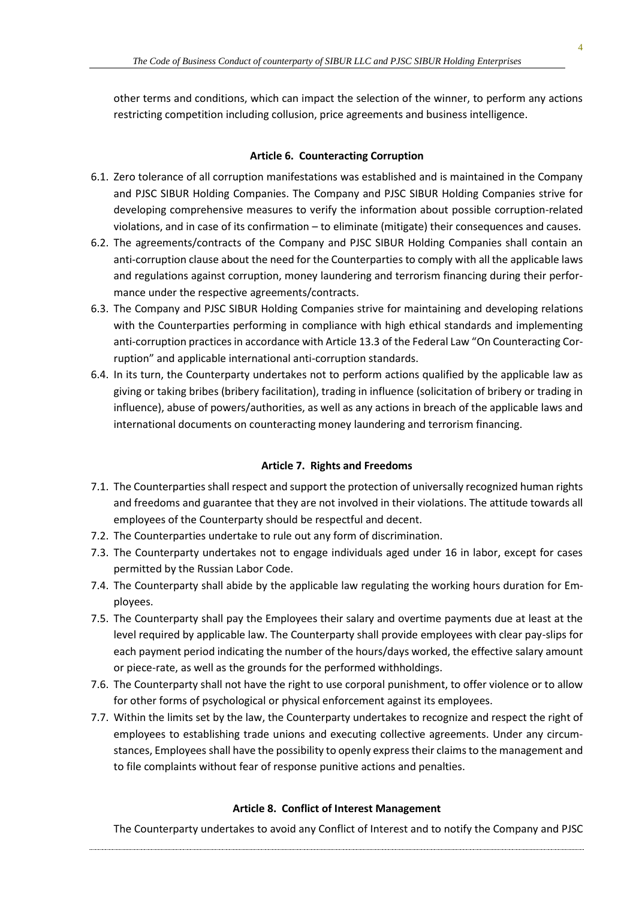other terms and conditions, which can impact the selection of the winner, to perform any actions restricting competition including collusion, price agreements and business intelligence.

### **Article 6. Counteracting Corruption**

- 6.1. Zero tolerance of all corruption manifestations was established and is maintained in the Company and PJSC SIBUR Holding Companies. The Company and PJSC SIBUR Holding Companies strive for developing comprehensive measures to verify the information about possible corruption-related violations, and in case of its confirmation – to eliminate (mitigate) their consequences and causes.
- 6.2. The agreements/contracts of the Company and PJSC SIBUR Holding Companies shall contain an anti-corruption clause about the need for the Counterparties to comply with all the applicable laws and regulations against corruption, money laundering and terrorism financing during their performance under the respective agreements/contracts.
- 6.3. The Company and PJSC SIBUR Holding Companies strive for maintaining and developing relations with the Counterparties performing in compliance with high ethical standards and implementing anti-corruption practices in accordance with Article 13.3 of the Federal Law "On Counteracting Corruption" and applicable international anti-corruption standards.
- 6.4. In its turn, the Counterparty undertakes not to perform actions qualified by the applicable law as giving or taking bribes (bribery facilitation), trading in influence (solicitation of bribery or trading in influence), abuse of powers/authorities, as well as any actions in breach of the applicable laws and international documents on counteracting money laundering and terrorism financing.

### **Article 7. Rights and Freedoms**

- 7.1. The Counterparties shall respect and support the protection of universally recognized human rights and freedoms and guarantee that they are not involved in their violations. The attitude towards all employees of the Counterparty should be respectful and decent.
- 7.2. The Counterparties undertake to rule out any form of discrimination.
- 7.3. The Counterparty undertakes not to engage individuals aged under 16 in labor, except for cases permitted by the Russian Labor Code.
- 7.4. The Counterparty shall abide by the applicable law regulating the working hours duration for Employees.
- 7.5. The Counterparty shall pay the Employees their salary and overtime payments due at least at the level required by applicable law. The Counterparty shall provide employees with clear pay-slips for each payment period indicating the number of the hours/days worked, the effective salary amount or piece-rate, as well as the grounds for the performed withholdings.
- 7.6. The Counterparty shall not have the right to use corporal punishment, to offer violence or to allow for other forms of psychological or physical enforcement against its employees.
- 7.7. Within the limits set by the law, the Counterparty undertakes to recognize and respect the right of employees to establishing trade unions and executing collective agreements. Under any circumstances, Employees shall have the possibility to openly express their claims to the management and to file complaints without fear of response punitive actions and penalties.

### **Article 8. Conflict of Interest Management**

The Counterparty undertakes to avoid any Conflict of Interest and to notify the Company and PJSC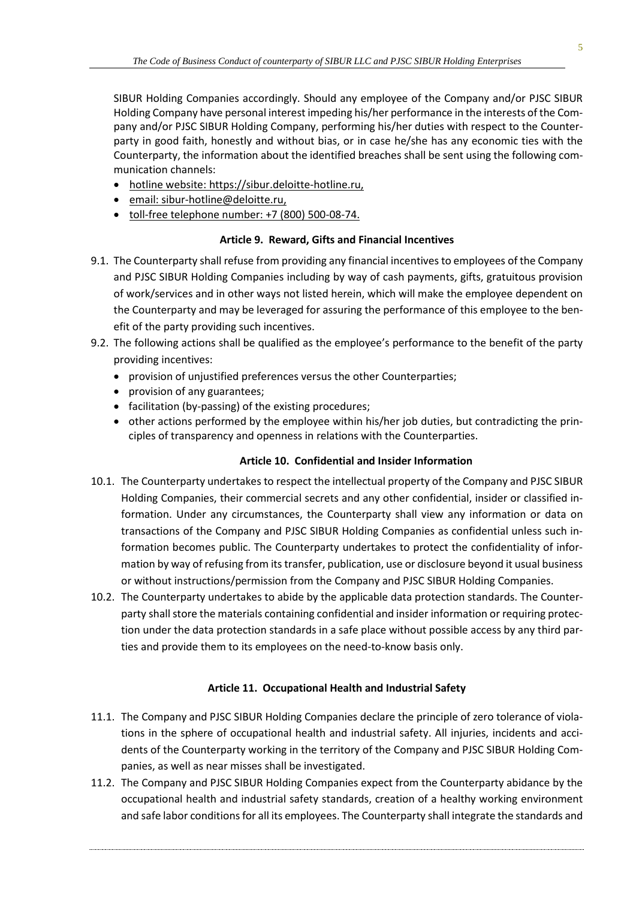SIBUR Holding Companies accordingly. Should any employee of the Company and/or PJSC SIBUR Holding Company have personal interest impeding his/her performance in the interests of the Company and/or PJSC SIBUR Holding Company, performing his/her duties with respect to the Counterparty in good faith, honestly and without bias, or in case he/she has any economic ties with the Counterparty, the information about the identified breaches shall be sent using the following communication channels:

- hotline website[: https://sibur.deloitte-hotline.ru,](https://sibur.deloitte-hotline.ru/)
- email: [sibur-hotline@deloitte.ru,](mailto:sibur-hotline@deloitte.ru)
- toll-free telephone number: +7 (800) 500-08-74.

## **Article 9. Reward, Gifts and Financial Incentives**

- 9.1. The Counterparty shall refuse from providing any financial incentives to employees of the Company and PJSC SIBUR Holding Companies including by way of cash payments, gifts, gratuitous provision of work/services and in other ways not listed herein, which will make the employee dependent on the Counterparty and may be leveraged for assuring the performance of this employee to the benefit of the party providing such incentives.
- 9.2. The following actions shall be qualified as the employee's performance to the benefit of the party providing incentives:
	- provision of unjustified preferences versus the other Counterparties;
	- provision of any guarantees;
	- facilitation (by-passing) of the existing procedures;
	- other actions performed by the employee within his/her job duties, but contradicting the principles of transparency and openness in relations with the Counterparties.

# **Article 10. Confidential and Insider Information**

- 10.1. The Counterparty undertakes to respect the intellectual property of the Company and PJSC SIBUR Holding Companies, their commercial secrets and any other confidential, insider or classified information. Under any circumstances, the Counterparty shall view any information or data on transactions of the Company and PJSC SIBUR Holding Companies as confidential unless such information becomes public. The Counterparty undertakes to protect the confidentiality of information by way of refusing from its transfer, publication, use or disclosure beyond it usual business or without instructions/permission from the Company and PJSC SIBUR Holding Companies.
- 10.2. The Counterparty undertakes to abide by the applicable data protection standards. The Counterparty shall store the materials containing confidential and insider information or requiring protection under the data protection standards in a safe place without possible access by any third parties and provide them to its employees on the need-to-know basis only.

# **Article 11. Occupational Health and Industrial Safety**

- 11.1. The Company and PJSC SIBUR Holding Companies declare the principle of zero tolerance of violations in the sphere of occupational health and industrial safety. All injuries, incidents and accidents of the Counterparty working in the territory of the Company and PJSC SIBUR Holding Companies, as well as near misses shall be investigated.
- 11.2. The Company and PJSC SIBUR Holding Companies expect from the Counterparty abidance by the occupational health and industrial safety standards, creation of a healthy working environment and safe labor conditions for all its employees. The Counterparty shall integrate the standards and